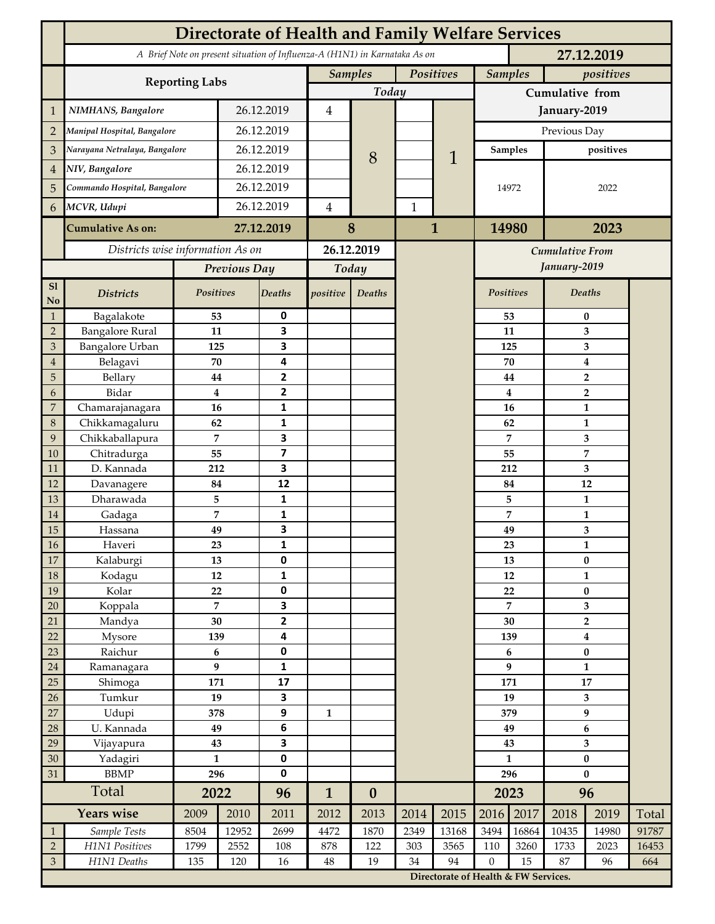|                             | <b>Directorate of Health and Family Welfare Services</b>                                 |                  |            |                   |                             |                  |              |                                        |                  |                |                                  |                         |       |  |
|-----------------------------|------------------------------------------------------------------------------------------|------------------|------------|-------------------|-----------------------------|------------------|--------------|----------------------------------------|------------------|----------------|----------------------------------|-------------------------|-------|--|
|                             | A Brief Note on present situation of Influenza-A (H1N1) in Karnataka As on<br>27.12.2019 |                  |            |                   |                             |                  |              |                                        |                  |                |                                  |                         |       |  |
|                             |                                                                                          |                  |            |                   | <b>Samples</b><br>Positives |                  |              | <b>Samples</b><br>positives            |                  |                |                                  |                         |       |  |
|                             | <b>Reporting Labs</b>                                                                    |                  |            |                   |                             | Today            |              |                                        | Cumulative from  |                |                                  |                         |       |  |
| 1                           | NIMHANS, Bangalore                                                                       | 26.12.2019       |            | $\overline{4}$    |                             |                  |              | January-2019                           |                  |                |                                  |                         |       |  |
| $\overline{2}$              | Manipal Hospital, Bangalore                                                              |                  | 26.12.2019 |                   |                             |                  |              |                                        | Previous Day     |                |                                  |                         |       |  |
| 3                           | Narayana Netralaya, Bangalore                                                            |                  | 26.12.2019 |                   |                             |                  |              |                                        |                  | <b>Samples</b> | positives                        |                         |       |  |
| $\overline{4}$              | NIV, Bangalore                                                                           |                  | 26.12.2019 |                   |                             | 8                |              | 1                                      |                  |                |                                  |                         |       |  |
| 5                           | Commando Hospital, Bangalore                                                             |                  | 26.12.2019 |                   |                             |                  |              |                                        | 14972            |                | 2022                             |                         |       |  |
| 6                           | MCVR, Udupi                                                                              |                  | 26.12.2019 |                   | $\overline{4}$              |                  | $\mathbf{1}$ |                                        |                  |                |                                  |                         |       |  |
|                             | <b>Cumulative As on:</b>                                                                 |                  | 27.12.2019 |                   |                             | 8                | 1            |                                        | 14980<br>2023    |                |                                  |                         |       |  |
|                             | Districts wise information As on                                                         |                  |            | 26.12.2019        |                             |                  |              |                                        |                  |                |                                  |                         |       |  |
|                             |                                                                                          | Previous Day     |            | Today             |                             |                  |              | <b>Cumulative From</b><br>January-2019 |                  |                |                                  |                         |       |  |
| S1                          |                                                                                          |                  |            |                   |                             |                  |              |                                        |                  |                |                                  |                         |       |  |
| No                          | <b>Districts</b>                                                                         | Positives        |            | Deaths            | positive                    | Deaths           |              |                                        |                  | Positives      |                                  | Deaths                  |       |  |
| $\mathbf{1}$                | Bagalakote                                                                               | 53               |            | 0                 |                             |                  |              |                                        |                  | 53             | $\pmb{0}$                        |                         |       |  |
| $\overline{2}$              | <b>Bangalore Rural</b>                                                                   | 11               |            | 3                 |                             |                  |              |                                        |                  | 11             | 3                                |                         |       |  |
| 3                           | <b>Bangalore Urban</b>                                                                   | 125              |            | 3                 |                             |                  |              |                                        |                  | 125            | 3                                |                         |       |  |
| $\overline{4}$              | Belagavi                                                                                 | 70               |            | 4                 |                             |                  |              |                                        |                  | 70             | 4                                |                         |       |  |
| 5<br>6                      | Bellary<br>Bidar                                                                         | 44<br>$\bf{4}$   |            | 2<br>$\mathbf{2}$ |                             |                  |              |                                        |                  | 44<br>4        | $\overline{2}$<br>$\overline{2}$ |                         |       |  |
| $\overline{7}$              | Chamarajanagara                                                                          | 16               |            | 1                 |                             |                  |              |                                        |                  | 16             | $\mathbf{1}$                     |                         |       |  |
| 8                           | Chikkamagaluru                                                                           | 62               |            | 1                 |                             |                  |              |                                        |                  | 62             |                                  | $\mathbf{1}$            |       |  |
| 9                           | Chikkaballapura                                                                          | $\overline{7}$   |            | 3                 |                             |                  |              |                                        |                  | 7              |                                  | 3                       |       |  |
| 10                          | Chitradurga                                                                              | 55               |            | 7                 |                             |                  |              |                                        |                  | 55             |                                  | 7                       |       |  |
| 11                          | D. Kannada                                                                               | 212              |            | 3                 |                             |                  |              |                                        |                  | 212            |                                  | 3                       |       |  |
| 12                          | Davanagere                                                                               | 84               |            | 12                |                             |                  |              |                                        |                  | 84             |                                  | 12                      |       |  |
| 13                          | Dharawada                                                                                | 5                |            | 1                 |                             |                  |              |                                        |                  | 5              | $\mathbf{1}$                     |                         |       |  |
| 14                          | Gadaga                                                                                   | 7                |            | 1                 |                             |                  |              |                                        |                  | 7              | $\mathbf{1}$                     |                         |       |  |
| 15                          | Hassana                                                                                  | 49               |            | 3                 |                             |                  |              |                                        |                  | 49             | 3                                |                         |       |  |
| $16\,$                      | Haveri                                                                                   | 23               |            | 1                 |                             |                  |              |                                        |                  | 23             | $\mathbf{1}$                     |                         |       |  |
| $17\,$                      | Kalaburgi                                                                                | 13               |            | 0                 |                             |                  |              |                                        |                  | 13             | $\bf{0}$                         |                         |       |  |
| 18                          | Kodagu                                                                                   | $12\,$           |            | $\mathbf{1}$      |                             |                  |              |                                        |                  | 12             |                                  | $\mathbf 1$             |       |  |
| 19                          | Kolar                                                                                    | 22               |            | $\pmb{0}$         |                             |                  |              |                                        | 22               |                | $\pmb{0}$                        |                         |       |  |
| 20                          | Koppala                                                                                  | $\overline{7}$   |            | 3                 |                             |                  |              |                                        | 7                |                | $\mathbf{3}$                     |                         |       |  |
| 21                          | Mandya                                                                                   | 30               |            | $\mathbf{2}$      |                             |                  |              |                                        | 30               |                | $\overline{2}$                   |                         |       |  |
| 22<br>23                    | Mysore                                                                                   | 139<br>$\bf 6$   |            | 4                 |                             |                  |              |                                        | 139<br>6         |                | $\boldsymbol{4}$<br>$\pmb{0}$    |                         |       |  |
| $24\,$                      | Raichur<br>Ramanagara                                                                    | $\boldsymbol{9}$ |            | 0<br>1            |                             |                  |              |                                        | 9                |                | $\mathbf 1$                      |                         |       |  |
| 25                          | Shimoga                                                                                  | 171              |            | 17                |                             |                  |              |                                        | 171              |                | ${\bf 17}$                       |                         |       |  |
| 26                          | Tumkur                                                                                   | 19               |            | 3                 |                             |                  |              |                                        | 19               |                | $\mathbf{3}$                     |                         |       |  |
| 27                          | Udupi                                                                                    | 378              |            | 9                 | $\mathbf{1}$                |                  |              |                                        | 379              |                | 9                                |                         |       |  |
| 28                          | U. Kannada                                                                               | 49               |            | 6                 |                             |                  |              |                                        | 49               |                | $\boldsymbol{6}$                 |                         |       |  |
| 29                          | Vijayapura                                                                               | 43               |            | 3                 |                             |                  |              |                                        |                  | 43             |                                  | $\overline{\mathbf{3}}$ |       |  |
| $30\,$                      | Yadagiri                                                                                 | $\mathbf{1}$     |            | $\pmb{0}$         |                             |                  |              |                                        | $\mathbf{1}$     |                | $\pmb{0}$                        |                         |       |  |
| 31                          | <b>BBMP</b>                                                                              |                  | 296        |                   |                             |                  |              |                                        | 296              |                | $\bf{0}$                         |                         |       |  |
|                             | Total                                                                                    | 2022             |            | 96                | $\mathbf{1}$                | $\boldsymbol{0}$ |              |                                        | 2023             |                | 96                               |                         |       |  |
|                             | <b>Years wise</b>                                                                        | 2009             | 2010       | 2011              | 2012                        | 2013             | 2014         | 2015                                   | 2016             | 2017           | 2018                             | 2019                    | Total |  |
| $\mathbf{1}$                | Sample Tests                                                                             | 8504             | 12952      | 2699              | 4472                        | 1870             | 2349         | 13168                                  | 3494             | 16864          | 10435                            | 14980                   | 91787 |  |
| $\sqrt{2}$                  | H1N1 Positives                                                                           | 1799             | 2552       | 108               | 878                         | 122              | 303          | 3565                                   | 110              | 3260           | 1733                             | 2023                    | 16453 |  |
| $\ensuremath{\mathfrak{Z}}$ | H1N1 Deaths                                                                              | 135              | 120        | 16                | $48\,$                      | 19               | 34           | 94                                     | $\boldsymbol{0}$ | 15             | 87                               | 96                      | 664   |  |
|                             |                                                                                          |                  |            |                   |                             |                  |              | Directorate of Health & FW Services.   |                  |                |                                  |                         |       |  |